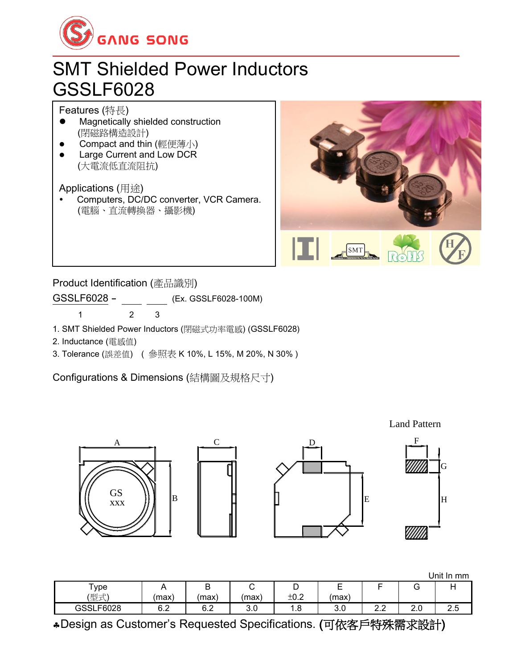

## SMT Shielded Power Inductors GSSLF6028

Features (特長)

- ⚫ Magnetically shielded construction (閉磁路構造設計)
- Compact and thin (輕便薄小)
- Large Current and Low DCR (大電流低直流阻抗)

Applications (用途)

 Computers, DC/DC converter, VCR Camera. (電腦、直流轉換器、攝影機)



Product Identification (產品識別)

GSSLF6028 - (Ex. GSSLF6028-100M)

1 2 3

- 1. SMT Shielded Power Inductors (閉磁式功率電感) (GSSLF6028)
- 2. Inductance (電感值)
- 3. Tolerance (誤差值) ( 參照表 K 10%, L 15%, M 20%, N 30% )

Configurations & Dimensions (結構圖及規格尺寸)



Land Pattern

G

|           |           |     |                       |      |               |                      |     | Unit I<br>∶ In mm |
|-----------|-----------|-----|-----------------------|------|---------------|----------------------|-----|-------------------|
| ype "     |           | ∽   |                       | ◡    | -<br><u>.</u> |                      | ◡   |                   |
| (型式)      | (max)     | max | (max)                 | ±0.2 | max)          |                      |     |                   |
| GSSLF6028 | Rク<br>U.Z | 6.2 | $\cdot$ $\sim$<br>J.U | 1.8  | v.v           | <u>_</u><br><u>.</u> | z.u | ں.ے               |

Design as Customer's Requested Specifications. (可依客戶特殊需求設計)